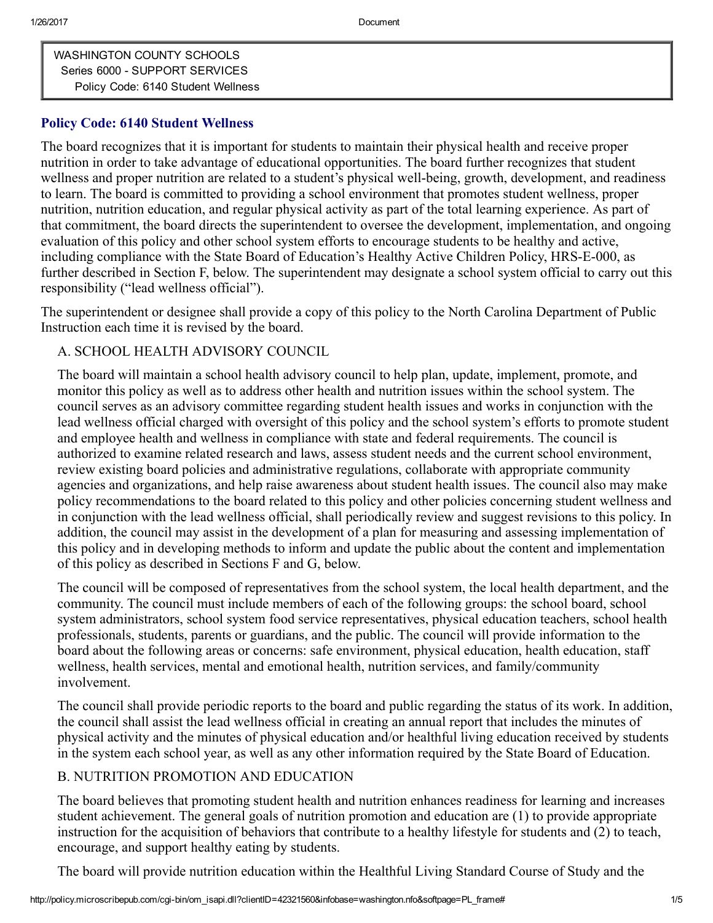[WASHINGTON](http://policy.microscribepub.com/cgi-bin/om_isapi.dll?clientID=42321560&depth=2&infobase=washington.nfo&record={1}&softpage=Document42) COUNTY SCHOOLS Series 6000 - SUPPORT [SERVICES](http://policy.microscribepub.com/cgi-bin/om_isapi.dll?clientID=42321560&depth=2&infobase=washington.nfo&record={137B}&softpage=Document42) Policy Code: 6140 Student [Wellness](http://policy.microscribepub.com/cgi-bin/om_isapi.dll?clientID=42321560&depth=2&infobase=washington.nfo&record={21B1}&softpage=Document42)

### Policy Code: 6140 Student Wellness

The board recognizes that it is important for students to maintain their physical health and receive proper nutrition in order to take advantage of educational opportunities. The board further recognizes that student wellness and proper nutrition are related to a student's physical well-being, growth, development, and readiness to learn. The board is committed to providing a school environment that promotes student wellness, proper nutrition, nutrition education, and regular physical activity as part of the total learning experience. As part of that commitment, the board directs the superintendent to oversee the development, implementation, and ongoing evaluation of this policy and other school system efforts to encourage students to be healthy and active, including compliance with the State Board of Education's Healthy Active Children Policy, HRS-E-000, as further described in Section F, below. The superintendent may designate a school system official to carry out this responsibility ("lead wellness official").

The superintendent or designee shall provide a copy of this policy to the North Carolina Department of Public Instruction each time it is revised by the board.

### A. SCHOOL HEALTH ADVISORY COUNCIL

The board will maintain a school health advisory council to help plan, update, implement, promote, and monitor this policy as well as to address other health and nutrition issues within the school system. The council serves as an advisory committee regarding student health issues and works in conjunction with the lead wellness official charged with oversight of this policy and the school system's efforts to promote student and employee health and wellness in compliance with state and federal requirements. The council is authorized to examine related research and laws, assess student needs and the current school environment, review existing board policies and administrative regulations, collaborate with appropriate community agencies and organizations, and help raise awareness about student health issues. The council also may make policy recommendations to the board related to this policy and other policies concerning student wellness and in conjunction with the lead wellness official, shall periodically review and suggest revisions to this policy. In addition, the council may assist in the development of a plan for measuring and assessing implementation of this policy and in developing methods to inform and update the public about the content and implementation of this policy as described in Sections F and G, below.

The council will be composed of representatives from the school system, the local health department, and the community. The council must include members of each of the following groups: the school board, school system administrators, school system food service representatives, physical education teachers, school health professionals, students, parents or guardians, and the public. The council will provide information to the board about the following areas or concerns: safe environment, physical education, health education, staff wellness, health services, mental and emotional health, nutrition services, and family/community involvement.

The council shall provide periodic reports to the board and public regarding the status of its work. In addition, the council shall assist the lead wellness official in creating an annual report that includes the minutes of physical activity and the minutes of physical education and/or healthful living education received by students in the system each school year, as well as any other information required by the State Board of Education.

## B. NUTRITION PROMOTION AND EDUCATION

The board believes that promoting student health and nutrition enhances readiness for learning and increases student achievement. The general goals of nutrition promotion and education are (1) to provide appropriate instruction for the acquisition of behaviors that contribute to a healthy lifestyle for students and (2) to teach, encourage, and support healthy eating by students.

The board will provide nutrition education within the Healthful Living Standard Course of Study and the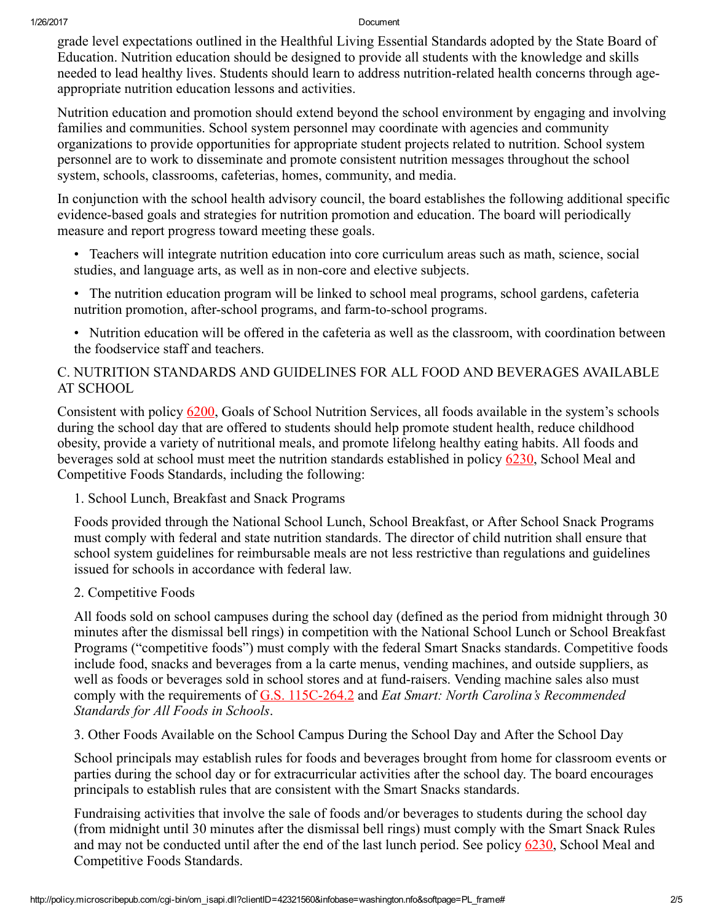#### 1/26/2017 Document

grade level expectations outlined in the Healthful Living Essential Standards adopted by the State Board of Education. Nutrition education should be designed to provide all students with the knowledge and skills needed to lead healthy lives. Students should learn to address nutrition-related health concerns through ageappropriate nutrition education lessons and activities.

Nutrition education and promotion should extend beyond the school environment by engaging and involving families and communities. School system personnel may coordinate with agencies and community organizations to provide opportunities for appropriate student projects related to nutrition. School system personnel are to work to disseminate and promote consistent nutrition messages throughout the school system, schools, classrooms, cafeterias, homes, community, and media.

In conjunction with the school health advisory council, the board establishes the following additional specific evidence-based goals and strategies for nutrition promotion and education. The board will periodically measure and report progress toward meeting these goals.

- Teachers will integrate nutrition education into core curriculum areas such as math, science, social studies, and language arts, as well as in non-core and elective subjects.
- The nutrition education program will be linked to school meal programs, school gardens, cafeteria nutrition promotion, after-school programs, and farm-to-school programs.
- Nutrition education will be offered in the cafeteria as well as the classroom, with coordination between the foodservice staff and teachers.

# C. NUTRITION STANDARDS AND GUIDELINES FOR ALL FOOD AND BEVERAGES AVAILABLE AT SCHOOL

Consistent with policy [6200](http://policy.microscribepub.com/cgi-bin/om_isapi.dll?clientID=42321560&infobase=washington.nfo&jump=6200&softpage=Document42#JUMPDEST_6200), Goals of School Nutrition Services, all foods available in the system's schools during the school day that are offered to students should help promote student health, reduce childhood obesity, provide a variety of nutritional meals, and promote lifelong healthy eating habits. All foods and beverages sold at school must meet the nutrition standards established in policy [6230,](http://policy.microscribepub.com/cgi-bin/om_isapi.dll?clientID=42321560&infobase=washington.nfo&jump=6230&softpage=Document42#JUMPDEST_6230) School Meal and Competitive Foods Standards, including the following:

## 1. School Lunch, Breakfast and Snack Programs

Foods provided through the National School Lunch, School Breakfast, or After School Snack Programs must comply with federal and state nutrition standards. The director of child nutrition shall ensure that school system guidelines for reimbursable meals are not less restrictive than regulations and guidelines issued for schools in accordance with federal law.

## 2. Competitive Foods

All foods sold on school campuses during the school day (defined as the period from midnight through 30 minutes after the dismissal bell rings) in competition with the National School Lunch or School Breakfast Programs ("competitive foods") must comply with the federal Smart Snacks standards. Competitive foods include food, snacks and beverages from a la carte menus, vending machines, and outside suppliers, as well as foods or beverages sold in school stores and at fund-raisers. Vending machine sales also must comply with the requirements of G.S. 115C-264.2 and *Eat Smart: North Carolina's Recommended Standards for All Foods in Schools*.

3. Other Foods Available on the School Campus During the School Day and After the School Day

School principals may establish rules for foods and beverages brought from home for classroom events or parties during the school day or for extracurricular activities after the school day. The board encourages principals to establish rules that are consistent with the Smart Snacks standards.

Fundraising activities that involve the sale of foods and/or beverages to students during the school day (from midnight until 30 minutes after the dismissal bell rings) must comply with the Smart Snack Rules and may not be conducted until after the end of the last lunch period. See policy [6230,](http://policy.microscribepub.com/cgi-bin/om_isapi.dll?clientID=42321560&infobase=washington.nfo&jump=6230&softpage=Document42#JUMPDEST_6230) School Meal and Competitive Foods Standards.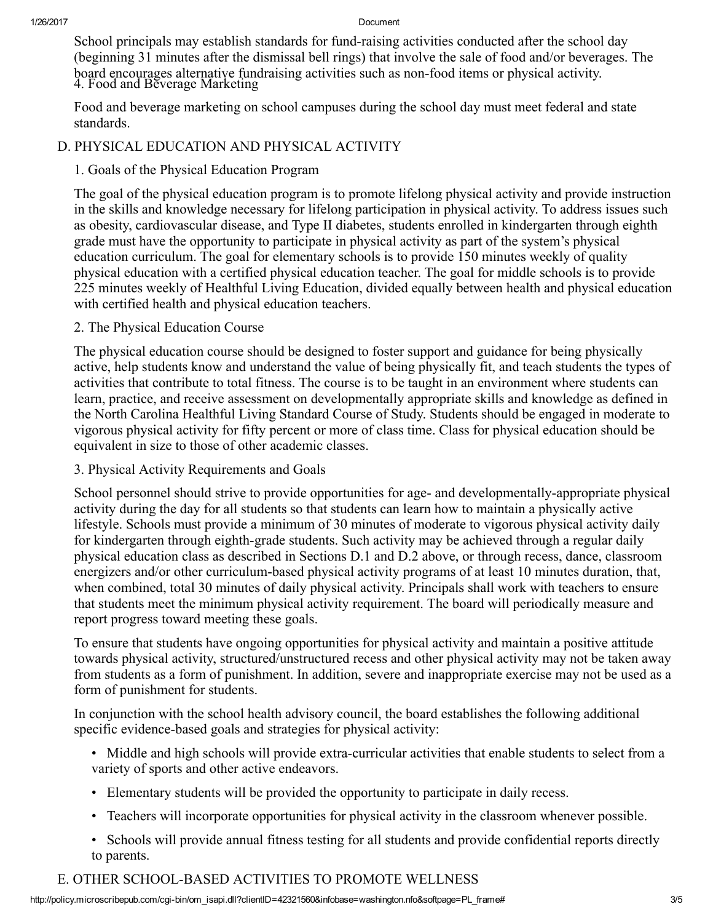#### 1/26/2017 Document

School principals may establish standards for fund-raising activities conducted after the school day (beginning 31 minutes after the dismissal bell rings) that involve the sale of food and/or beverages. The board encourages alternative fundraising activities such as non-food items or physical activity. 4. Food and Beverage Marketing

Food and beverage marketing on school campuses during the school day must meet federal and state standards.

## D. PHYSICAL EDUCATION AND PHYSICAL ACTIVITY

## 1. Goals of the Physical Education Program

The goal of the physical education program is to promote lifelong physical activity and provide instruction in the skills and knowledge necessary for lifelong participation in physical activity. To address issues such as obesity, cardiovascular disease, and Type II diabetes, students enrolled in kindergarten through eighth grade must have the opportunity to participate in physical activity as part of the system's physical education curriculum. The goal for elementary schools is to provide 150 minutes weekly of quality physical education with a certified physical education teacher. The goal for middle schools is to provide 225 minutes weekly of Healthful Living Education, divided equally between health and physical education with certified health and physical education teachers.

### 2. The Physical Education Course

The physical education course should be designed to foster support and guidance for being physically active, help students know and understand the value of being physically fit, and teach students the types of activities that contribute to total fitness. The course is to be taught in an environment where students can learn, practice, and receive assessment on developmentally appropriate skills and knowledge as defined in the North Carolina Healthful Living Standard Course of Study. Students should be engaged in moderate to vigorous physical activity for fifty percent or more of class time. Class for physical education should be equivalent in size to those of other academic classes.

## 3. Physical Activity Requirements and Goals

School personnel should strive to provide opportunities for age- and developmentally-appropriate physical activity during the day for all students so that students can learn how to maintain a physically active lifestyle. Schools must provide a minimum of 30 minutes of moderate to vigorous physical activity daily for kindergarten through eighth-grade students. Such activity may be achieved through a regular daily physical education class as described in Sections D.1 and D.2 above, or through recess, dance, classroom energizers and/or other curriculum-based physical activity programs of at least 10 minutes duration, that, when combined, total 30 minutes of daily physical activity. Principals shall work with teachers to ensure that students meet the minimum physical activity requirement. The board will periodically measure and report progress toward meeting these goals.

To ensure that students have ongoing opportunities for physical activity and maintain a positive attitude towards physical activity, structured/unstructured recess and other physical activity may not be taken away from students as a form of punishment. In addition, severe and inappropriate exercise may not be used as a form of punishment for students.

In conjunction with the school health advisory council, the board establishes the following additional specific evidence-based goals and strategies for physical activity:

- Middle and high schools will provide extra-curricular activities that enable students to select from a variety of sports and other active endeavors.
- Elementary students will be provided the opportunity to participate in daily recess.
- Teachers will incorporate opportunities for physical activity in the classroom whenever possible.
- Schools will provide annual fitness testing for all students and provide confidential reports directly to parents.

# E. OTHER SCHOOL-BASED ACTIVITIES TO PROMOTE WELLNESS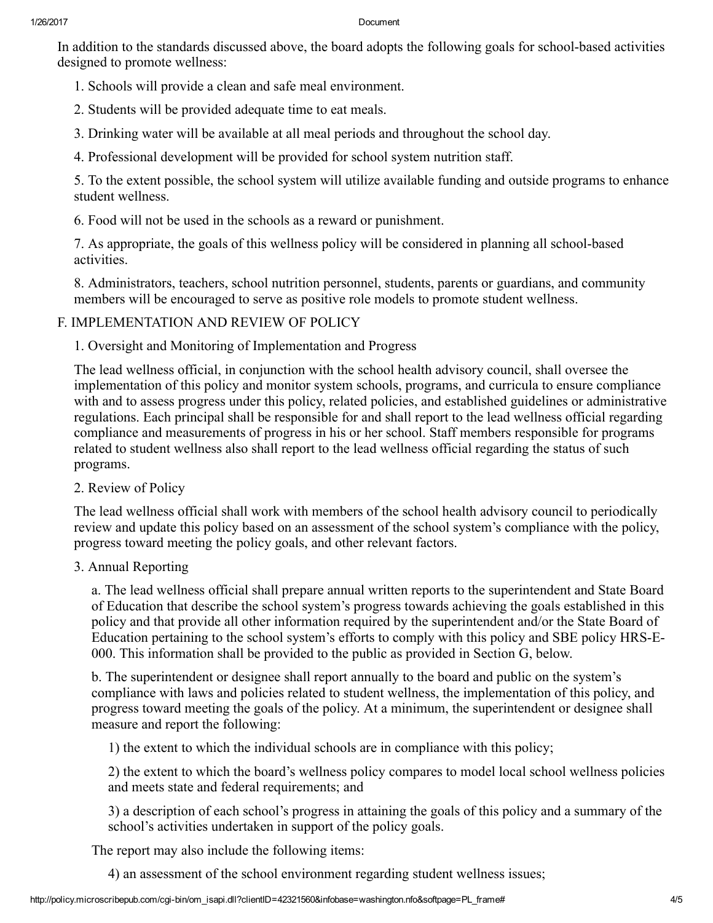#### 1/26/2017 Document

In addition to the standards discussed above, the board adopts the following goals for school-based activities designed to promote wellness:

- 1. Schools will provide a clean and safe meal environment.
- 2. Students will be provided adequate time to eat meals.
- 3. Drinking water will be available at all meal periods and throughout the school day.
- 4. Professional development will be provided for school system nutrition staff.

5. To the extent possible, the school system will utilize available funding and outside programs to enhance student wellness.

6. Food will not be used in the schools as a reward or punishment.

7. As appropriate, the goals of this wellness policy will be considered in planning all school-based activities.

8. Administrators, teachers, school nutrition personnel, students, parents or guardians, and community members will be encouraged to serve as positive role models to promote student wellness.

### F. IMPLEMENTATION AND REVIEW OF POLICY

1. Oversight and Monitoring of Implementation and Progress

The lead wellness official, in conjunction with the school health advisory council, shall oversee the implementation of this policy and monitor system schools, programs, and curricula to ensure compliance with and to assess progress under this policy, related policies, and established guidelines or administrative regulations. Each principal shall be responsible for and shall report to the lead wellness official regarding compliance and measurements of progress in his or her school. Staff members responsible for programs related to student wellness also shall report to the lead wellness official regarding the status of such programs.

2. Review of Policy

The lead wellness official shall work with members of the school health advisory council to periodically review and update this policy based on an assessment of the school system's compliance with the policy, progress toward meeting the policy goals, and other relevant factors.

#### 3. Annual Reporting

a. The lead wellness official shall prepare annual written reports to the superintendent and State Board of Education that describe the school system's progress towards achieving the goals established in this policy and that provide all other information required by the superintendent and/or the State Board of Education pertaining to the school system's efforts to comply with this policy and SBE policy HRS-E-000. This information shall be provided to the public as provided in Section G, below.

b. The superintendent or designee shall report annually to the board and public on the system's compliance with laws and policies related to student wellness, the implementation of this policy, and progress toward meeting the goals of the policy. At a minimum, the superintendent or designee shall measure and report the following:

1) the extent to which the individual schools are in compliance with this policy;

2) the extent to which the board's wellness policy compares to model local school wellness policies and meets state and federal requirements; and

3) a description of each school's progress in attaining the goals of this policy and a summary of the school's activities undertaken in support of the policy goals.

The report may also include the following items:

4) an assessment of the school environment regarding student wellness issues;